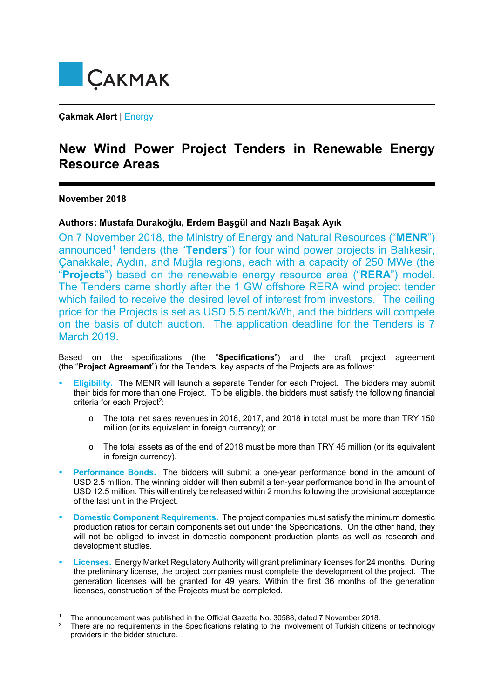

**Çakmak Alert** | Energy

## **New Wind Power Project Tenders in Renewable Energy Resource Areas**

## **November 2018**

## **Authors: Mustafa Durakoğlu, Erdem Başgül and Nazlı Başak Ayık**

On 7 November 2018, the Ministry of Energy and Natural Resources ("**MENR**") announced<sup>1</sup> tenders (the "**Tenders**") for four wind power projects in Balıkesir, Çanakkale, Aydın, and Muğla regions, each with a capacity of 250 MWe (the "**Projects**") based on the renewable energy resource area ("**RERA**") model. The Tenders came shortly after the 1 GW offshore RERA wind project tender which failed to receive the desired level of interest from investors. The ceiling price for the Projects is set as USD 5.5 cent/kWh, and the bidders will compete on the basis of dutch auction. The application deadline for the Tenders is 7 March 2019.

Based on the specifications (the "**Specifications**") and the draft project agreement (the "**Project Agreement**") for the Tenders, key aspects of the Projects are as follows:

- **Eligibility.** The MENR will launch a separate Tender for each Project. The bidders may submit their bids for more than one Project. To be eligible, the bidders must satisfy the following financial criteria for each Project<sup>2</sup>:
	- o The total net sales revenues in 2016, 2017, and 2018 in total must be more than TRY 150 million (or its equivalent in foreign currency); or
	- o The total assets as of the end of 2018 must be more than TRY 45 million (or its equivalent in foreign currency).
- **Performance Bonds.**The bidders will submit a one-year performance bond in the amount of USD 2.5 million. The winning bidder will then submit a ten-year performance bond in the amount of USD 12.5 million. This will entirely be released within 2 months following the provisional acceptance of the last unit in the Project.
- **Domestic Component Requirements.** The project companies must satisfy the minimum domestic production ratios for certain components set out under the Specifications. On the other hand, they will not be obliged to invest in domestic component production plants as well as research and development studies.
- **Licenses.** Energy Market Regulatory Authority will grant preliminary licenses for 24 months. During the preliminary license, the project companies must complete the development of the project. The generation licenses will be granted for 49 years. Within the first 36 months of the generation licenses, construction of the Projects must be completed.

<sup>&</sup>lt;sup>1</sup> The announcement was published in the Official Gazette No. 30588, dated 7 November 2018.<br><sup>2</sup> There are no requirements in the Specifications relating to the involvement of Turkish citizens or technology providers in the bidder structure.